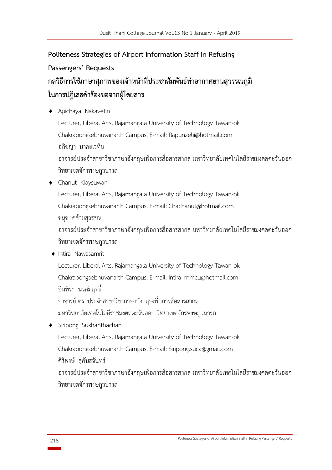# **Politeness Strategies of Airport Information Staff in Refusing Passengers' Requests กลวิธีการใช้ภาษาสุภาพของเจ้าหน้าที่ประชาสัมพันธ์ท่าอากาศยานสุวรรณภูมิ ในการปฏิเสธค าร้องขอจากผู้โดยสาร**

- Apichaya Nakavetin Lecturer, Liberal Arts, Rajamangala University of Technology Tawan-ok Chakrabongsebhuvanarth Campus, E-mail: Rapunzelii@hotmail.com อภิชญา นาคะเวทิน ้ อาจารย์ประจำสาขาวิชาภาษาอังกฤษเพื่อการสื่อสารสากล มหาวิทยาลัยเทคโนโลยีราชมงคลตะวันออก วิทยาเขตจักรพงษภูวนารถ Chanut Klaysuwan
- Lecturer, Liberal Arts, Rajamangala University of Technology Tawan-ok Chakrabongsebhuvanarth Campus, E-mail: [Chachanut@hotmail](mailto:Chachanut@hotmail.com).com ชนุช คล้ายสุวรรณ ้ อาจารย์ประจำสาขาวิชาภาษาอังกฤษเพื่อการสื่อสารสากล มหาวิทยาลัยเทคโนโลยีราชมงคลตะวันออก วิทยาเขตจักรพงษภูวนารถ ◆ Intira Nawasamrit Lecturer, Liberal Arts, Rajamangala University of Technology Tawan-ok Chakrabongsebhuvanarth Campus, E-mail: Intira\_mmcu@hotmail.com อินทิรา นวสัมฤทธิ์
	- อาจารย์ดร. ประจ าสาขาวิขาภาษาอังกฤษเพื่อการสื่อสารสากล
	- มหาวิทยาลัยเทคโนโลยีราชมงคลตะวันออก วิทยาเขตจักรพงษภูวนารถ
- Siripong Sukhanthachan Lecturer, Liberal Arts, Rajamangala University of Technology Tawan-ok Chakrabongsebhuvanarth Campus, E-mail: Siripong.[suca@gmail](mailto:Siripong.suca@gmail.com).com ศิริพงษ์ สุคันธจันทร์ ้ อาจารย์ประจำสาขาวิขาภาษาอังกฤษเพื่อการสื่อสารสากล มหาวิทยาลัยเทคโนโลยีราชมงคลตะวันออก วิทยาเขตจักรพงษภูวนารถ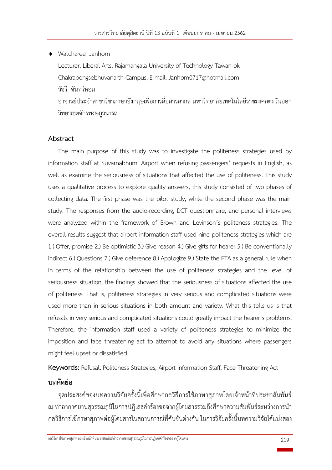Watcharee Janhom Lecturer, Liberal Arts, Rajamangala University of Technology Tawan-ok Chakrabongsebhuvanarth Campus, E-mail: [Janhom0717@hotmail](mailto:Janhom0717@hotmail.com).com วัชรีจันทร์หอม ้ อาจารย์ประจำสาขาวิขาภาษาอังกถษเพื่อการสื่อสารสากล มหาวิทยาลัยเทคโนโลยีราชมงคลตะวันออก วิทยาเขตจักรพงษภูวนารถ

# **Abstract**

The main purpose of this study was to investigate the politeness strategies used by information staff at Suvarnabhumi Airport when refusing passengers' requests in English, as well as examine the seriousness of situations that affected the use of politeness. This study uses a qualitative process to explore quality answers, this study consisted of two phases of collecting data. The first phase was the pilot study, while the second phase was the main study. The responses from the audio-recording, DCT questionnaire, and personal interviews were analyzed within the framework of Brown and Levinson's politeness strategies. The overall results suggest that airport information staff used nine politeness strategies which are 1.) Offer, promise 2.) Be optimistic 3.) Give reason 4.) Give gifts for hearer 5.) Be conventionally indirect 6.) Questions 7.) Give deference 8.) Apologize 9.) State the FTA as a general rule when In terms of the relationship between the use of politeness strategies and the level of seriousness situation, the findings showed that the seriousness of situations affected the use of politeness. That is, politeness strategies in very serious and complicated situations were used more than in serious situations in both amount and variety. What this tells us is that refusals in very serious and complicated situations could greatly impact the hearer's problems. Therefore, the information staff used a variety of politeness strategies to minimize the imposition and face threatening act to attempt to avoid any situations where passengers might feel upset or dissatisfied.

**Keywords:** Refusal, Politeness Strategies, Airport Information Staff, Face Threatening Act

# **บทคัดย่อ**

จุดประสงค์ของบทความวิจัยครั้งนี้เพื่อศึกษากลวิธีการใช้ภาษาสุภาพโดยเจ้าหน้าที่ประชาสัมพันธ์ ณ ท่าอากาศยานสวรรณภมิในการปฏิเสธคำร้องขอจากผ์โดยสารรวมถึงศึกษาความสัมพันธ์ระหว่างการนำ กลวิธีการใช้ภาษาสุภาพต่อผู้โดยสารในสถานการณ์ที่คับขันต่างกัน ในการวิจัยครั้งนี้บทความวิจัยได้แบ่งสอง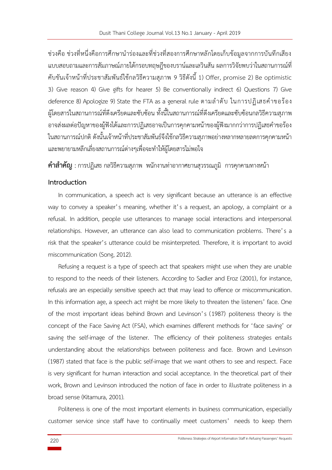ี่ ช่วงคือ ช่วงที่หนึ่งคือการศึกษานำร่องและที่ช่วงที่สองการศึกษาหลักโดยเก็บข้อมูลจากการบันทึกเสียง แบบสอบถามและการสัมภาษณ์ภายใต้กรอบทฤษฎีของบราน์และเลวินสัน ผลการวิจัยพบว่าในสถานการณ์ที่ คับขันเจ้าหน้าที่ประชาสัมพันธ์ใช้กลวิธีความสุภาพ 9 วิธีดังนี้ 1) Offer, promise 2) Be optimistic 3) Give reason 4) Give gifts for hearer 5) Be conventionally indirect 6) Questions 7) Give deference 8) Apologize 9) State the FTA as a general rule ตามลำดับ ในการปฏิเสธคำขอร้อง ผู้โดยสารในสถานการณ์ที่ตึงเครียดและซับซ้อน ทั้งนี้ในสถานการณ์ที่ตึงเครียดและซับซ้อนกลวิธีความสุภาพ ้อาจส่งผลต่อปัญหาของผ้ฟังได้และการปฏิเสธอาจเป็นการคกคามหน้าของผ้ฟังมากกว่าการปฏิเสธคำขอร้อง ในสถานการณ์ปกติ ดังนั้นเจ้าหน้าที่ประชาสัมพันธ์จึงใช้กลวิธีความสุภาพอย่างหลากหลายลดการคุกคามหน้า และพยายามหลีกเลี่ยงสถานการณ์ต่างๆเพื่อจะท าให้ผู้โดยสารไม่พอใจ

**ค าส าคัญ** :การปฏิเสธ กลวิธีความสุภาพ พนักงานท่าอากาศยานสุวรรณภูมิ การคุกคามทางหน้า

# **Introduction**

In communication, a speech act is very significant because an utterance is an effective way to convey a speaker's meaning, whether it's a request, an apology, a complaint or a refusal. In addition, people use utterances to manage social interactions and interpersonal relationships. However, an utterance can also lead to communication problems. There's a risk that the speaker's utterance could be misinterpreted. Therefore, it is important to avoid miscommunication (Song, 2012).

Refusing a request is a type of speech act that speakers might use when they are unable to respond to the needs of their listeners. According to Sadler and Eroz (2001), for instance, refusals are an especially sensitive speech act that may lead to offence or miscommunication. In this information age, a speech act might be more likely to threaten the listeners' face. One of the most important ideas behind Brown and Levinson's (1987) politeness theory is the concept of the Face Saving Act (FSA), which examines different methods for 'face saving' or saving the self-image of the listener. The efficiency of their politeness strategies entails understanding about the relationships between politeness and face. Brown and Levinson (1987) stated that face is the public self-image that we want others to see and respect. Face is very significant for human interaction and social acceptance. In the theoretical part of their work, Brown and Levinson introduced the notion of face in order to illustrate politeness in a broad sense (Kitamura, 2001).

Politeness is one of the most important elements in business communication, especially customer service since staff have to continually meet customers' needs to keep them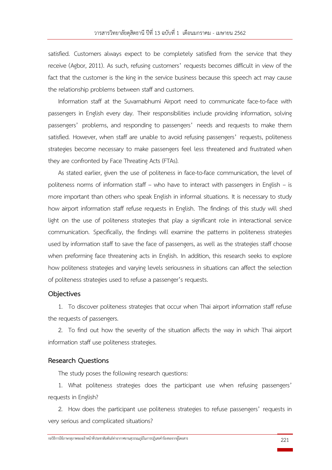satisfied. Customers always expect to be completely satisfied from the service that they receive (Agbor, 2011). As such, refusing customers' requests becomes difficult in view of the fact that the customer is the king in the service business because this speech act may cause the relationship problems between staff and customers.

Information staff at the Suvarnabhumi Airport need to communicate face-to-face with passengers in English every day. Their responsibilities include providing information, solving passengers' problems, and responding to passengers' needs and requests to make them satisfied. However, when staff are unable to avoid refusing passengers' requests, politeness strategies become necessary to make passengers feel less threatened and frustrated when they are confronted by Face Threating Acts (FTAs).

As stated earlier, given the use of politeness in face-to-face communication, the level of politeness norms of information staff – who have to interact with passengers in English – is more important than others who speak English in informal situations. It is necessary to study how airport information staff refuse requests in English. The findings of this study will shed light on the use of politeness strategies that play a significant role in interactional service communication. Specifically, the findings will examine the patterns in politeness strategies used by information staff to save the face of passengers, as well as the strategies staff choose when preforming face threatening acts in English. In addition, this research seeks to explore how politeness strategies and varying levels seriousness in situations can affect the selection of politeness strategies used to refuse a passenger's requests.

## **Objectives**

1. To discover politeness strategies that occur when Thai airport information staff refuse the requests of passengers.

2. To find out how the severity of the situation affects the way in which Thai airport information staff use politeness strategies.

#### **Research Questions**

The study poses the following research questions:

1. What politeness strategies does the participant use when refusing passengers' requests in English?

2. How does the participant use politeness strategies to refuse passengers' requests in very serious and complicated situations?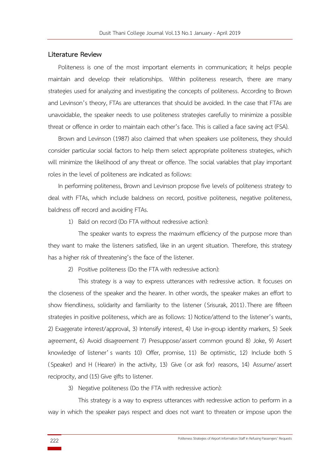#### **Literature Review**

Politeness is one of the most important elements in communication; it helps people maintain and develop their relationships. Within politeness research, there are many strategies used for analyzing and investigating the concepts of politeness. According to Brown and Levinson's theory, FTAs are utterances that should be avoided. In the case that FTAs are unavoidable, the speaker needs to use politeness strategies carefully to minimize a possible threat or offence in order to maintain each other's face. This is called a face saving act (FSA).

Brown and Levinson (1987) also claimed that when speakers use politeness, they should consider particular social factors to help them select appropriate politeness strategies, which will minimize the likelihood of any threat or offence. The social variables that play important roles in the level of politeness are indicated as follows:

In performing politeness, Brown and Levinson propose five levels of politeness strategy to deal with FTAs, which include baldness on record, positive politeness, negative politeness, baldness off record and avoiding FTAs.

1) Bald on record (Do FTA without redressive action):

The speaker wants to express the maximum efficiency of the purpose more than they want to make the listeners satisfied, like in an urgent situation. Therefore, this strategy has a higher risk of threatening's the face of the listener.

2) Positive politeness (Do the FTA with redressive action):

This strategy is a way to express utterances with redressive action. It focuses on the closeness of the speaker and the hearer. In other words, the speaker makes an effort to show friendliness, solidarity and familiarity to the listener (Srisurak, 2011) .There are fifteen strategies in positive politeness, which are as follows: 1) Notice/attend to the listener's wants, 2) Exaggerate interest/approval, 3) Intensify interest, 4) Use in-group identity markers, 5) Seek agreement, 6) Avoid disagreement 7) Presuppose/assert common ground 8) Joke, 9) Assert knowledge of listener' s wants 10) Offer, promise, 11) Be optimistic, 12) Include both S (Speaker) and H (Hearer) in the activity, 13) Give (or ask for) reasons, 14) Assume/assert reciprocity, and (15) Give gifts to listener.

3) Negative politeness (Do the FTA with redressive action):

This strategy is a way to express utterances with redressive action to perform in a way in which the speaker pays respect and does not want to threaten or impose upon the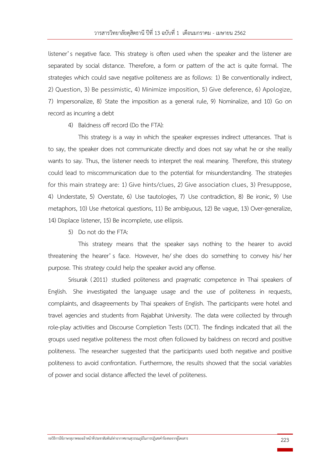listener's negative face. This strategy is often used when the speaker and the listener are separated by social distance. Therefore, a form or pattern of the act is quite formal. The strategies which could save negative politeness are as follows: 1) Be conventionally indirect, 2) Question, 3) Be pessimistic, 4) Minimize imposition, 5) Give deference, 6) Apologize, 7) Impersonalize, 8) State the imposition as a general rule, 9) Nominalize, and 10) Go on record as incurring a debt

4) Baldness off record (Do the FTA):

This strategy is a way in which the speaker expresses indirect utterances. That is to say, the speaker does not communicate directly and does not say what he or she really wants to say. Thus, the listener needs to interpret the real meaning. Therefore, this strategy could lead to miscommunication due to the potential for misunderstanding. The strategies for this main strategy are: 1) Give hints/clues, 2) Give association clues, 3) Presuppose, 4) Understate, 5) Overstate, 6) Use tautologies, 7) Use contradiction, 8) Be ironic, 9) Use metaphors, 10) Use rhetorical questions, 11) Be ambiguous, 12) Be vague, 13) Over-generalize, 14) Displace listener, 15) Be incomplete, use ellipsis.

5) Do not do the FTA:

This strategy means that the speaker says nothing to the hearer to avoid threatening the hearer' s face. However, he/ she does do something to convey his/ her purpose. This strategy could help the speaker avoid any offense.

Srisurak (2011) studied politeness and pragmatic competence in Thai speakers of English. She investigated the language usage and the use of politeness in requests, complaints, and disagreements by Thai speakers of English. The participants were hotel and travel agencies and students from Rajabhat University. The data were collected by through role-play activities and Discourse Completion Tests (DCT). The findings indicated that all the groups used negative politeness the most often followed by baldness on record and positive politeness. The researcher suggested that the participants used both negative and positive politeness to avoid confrontation. Furthermore, the results showed that the social variables of power and social distance affected the level of politeness.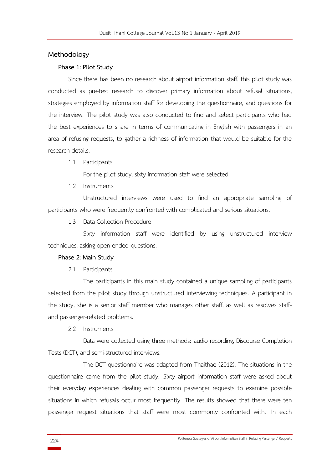#### **Methodology**

#### **Phase 1: Pilot Study**

Since there has been no research about airport information staff, this pilot study was conducted as pre-test research to discover primary information about refusal situations, strategies employed by information staff for developing the questionnaire, and questions for the interview. The pilot study was also conducted to find and select participants who had the best experiences to share in terms of communicating in English with passengers in an area of refusing requests, to gather a richness of information that would be suitable for the research details.

#### 1.1 Participants

For the pilot study, sixty information staff were selected.

1.2 Instruments

Unstructured interviews were used to find an appropriate sampling of participants who were frequently confronted with complicated and serious situations.

1.3 Data Collection Procedure

Sixty information staff were identified by using unstructured interview techniques: asking open-ended questions.

#### **Phase 2: Main Study**

2.1 Participants

The participants in this main study contained a unique sampling of participants selected from the pilot study through unstructured interviewing techniques. A participant in the study, she is a senior staff member who manages other staff, as well as resolves staffand passenger-related problems.

2.2 Instruments

Data were collected using three methods: audio recording, Discourse Completion Tests (DCT), and semi-structured interviews.

The DCT questionnaire was adapted from Thaithae (2012). The situations in the questionnaire came from the pilot study. Sixty airport information staff were asked about their everyday experiences dealing with common passenger requests to examine possible situations in which refusals occur most frequently. The results showed that there were ten passenger request situations that staff were most commonly confronted with. In each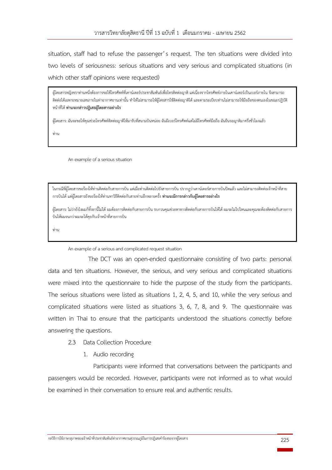situation, staff had to refuse the passenger's request. The ten situations were divided into two levels of seriousness: serious situations and very serious and complicated situations (in which other staff opinions were requested)

ผู้โดยสารหญิงชราท่านหนึ่งต้องการขอใช้โทรศัพท์ที่เคาน์เตอร์ประชาสัมพันธ์เพื่อโทรติดต่อญาติ แต่เนื่องจากโทรศัพท์ภายในเคาน์เตอร์เป็นเบอร์ภายใน จึงสามารถ ติดต่อได้เฉพาะหมายเลขภายในท่าอากาศยานเท่านั้น ทำให้ไม่สามารถให้ผู้โดยสารใช้ติดต่อญาติได้ และตามระเบียบท่านไม่สามารถใช้มือถือของตนเองในขณะปฏิบัติ หน้าที่ได้ **ท่านจะกล่าวปฏิเสธผู้โดยสารอย่างไร**

ผู้โดยสาร: ฉันจะขอให้คุณช่วยโทรศัพท์ติดต่อญาติให้มารับที่สนามบินหน่อย ฉันมีเบอร์โทรศัพท์แต่ไม่มีโทรศัพท์มือถือ ฉันยืนรอญาติมาครึ่งชั่วโมงแล้ว

ท่าน:

An example of a serious situation

ในกรณีที่ผู้โดยสารขอร้องให้ท่านติดต่อกับสายการบิน แต่เมื่อท่านติดต่อไปยังสายการบิน ปรากฏว่าเคาน์เตอร์สายการบินปิดแล้ว และไม่สามารถติดต่อเจ้าหน้าที่สาย การบินได้ แต่ผู้โดยสารยังขอร้องให้ท่านหาวิธีติดต่อกับสายท่านอีกหลายครั้ง **ท่านจะมีการกล่าวกับผู้โดยสารอย่างไร**

 $\mathcal{L}_\mathcal{L} = \mathcal{L}_\mathcal{L} = \mathcal{L}_\mathcal{L} = \mathcal{L}_\mathcal{L} = \mathcal{L}_\mathcal{L} = \mathcal{L}_\mathcal{L} = \mathcal{L}_\mathcal{L} = \mathcal{L}_\mathcal{L} = \mathcal{L}_\mathcal{L} = \mathcal{L}_\mathcal{L} = \mathcal{L}_\mathcal{L} = \mathcal{L}_\mathcal{L} = \mathcal{L}_\mathcal{L} = \mathcal{L}_\mathcal{L} = \mathcal{L}_\mathcal{L} = \mathcal{L}_\mathcal{L} = \mathcal{L}_\mathcal{L}$ 

ผู้โดยสาร: ไม่ว่ายังไงผมก็ทิ้งยานี้ไม่ได้ ผมต้องการติดต่อกับสายการบิน รบกวนคุณช่วยหาทางติดต่อกับสายการบินให้ได้ ผมจะไม่ไปไหนและคุณจะต้องติดต่อกับสายการ บินให้ผมจนกว่าผมจะได้คุยกับเจ้าหน้าที่สายการบิน

ท่าน:

An example of a serious and complicated request situation

The DCT was an open-ended questionnaire consisting of two parts: personal data and ten situations. However, the serious, and very serious and complicated situations were mixed into the questionnaire to hide the purpose of the study from the participants. The serious situations were listed as situations 1, 2, 4, 5, and 10, while the very serious and complicated situations were listed as situations 3, 6, 7, 8, and 9. The questionnaire was written in Thai to ensure that the participants understood the situations correctly before answering the questions.

- 2.3 Data Collection Procedure
	- 1. Audio recording

Participants were informed that conversations between the participants and passengers would be recorded. However, participants were not informed as to what would be examined in their conversation to ensure real and authentic results.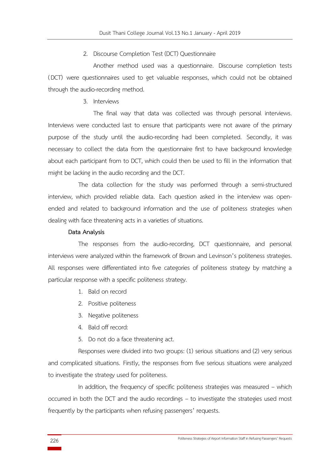#### 2. Discourse Completion Test (DCT) Questionnaire

Another method used was a questionnaire. Discourse completion tests (DCT) were questionnaires used to get valuable responses, which could not be obtained through the audio-recording method.

3. Interviews

The final way that data was collected was through personal interviews. Interviews were conducted last to ensure that participants were not aware of the primary purpose of the study until the audio-recording had been completed. Secondly, it was necessary to collect the data from the questionnaire first to have background knowledge about each participant from to DCT, which could then be used to fill in the information that might be lacking in the audio recording and the DCT.

The data collection for the study was performed through a semi-structured interview, which provided reliable data. Each question asked in the interview was openended and related to background information and the use of politeness strategies when dealing with face threatening acts in a varieties of situations.

#### **Data Analysis**

The responses from the audio-recording, DCT questionnaire, and personal interviews were analyzed within the framework of Brown and Levinson's politeness strategies. All responses were differentiated into five categories of politeness strategy by matching a particular response with a specific politeness strategy.

- 1. Bald on record
- 2. Positive politeness
- 3. Negative politeness
- 4. Bald off record:
- 5. Do not do a face threatening act.

Responses were divided into two groups: (1) serious situations and (2) very serious and complicated situations. Firstly, the responses from five serious situations were analyzed to investigate the strategy used for politeness.

In addition, the frequency of specific politeness strategies was measured – which occurred in both the DCT and the audio recordings – to investigate the strategies used most frequently by the participants when refusing passengers' requests.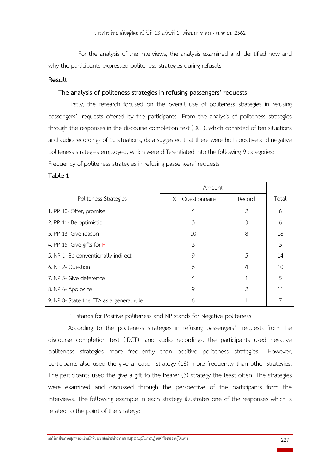For the analysis of the interviews, the analysis examined and identified how and why the participants expressed politeness strategies during refusals.

# **Result**

## **The analysis of politeness strategies in refusing passengers' requests**

Firstly, the research focused on the overall use of politeness strategies in refusing passengers' requests offered by the participants. From the analysis of politeness strategies through the responses in the discourse completion test (DCT), which consisted of ten situations and audio recordings of 10 situations, data suggested that there were both positive and negative politeness strategies employed, which were differentiated into the following 9 categories:

Frequency of politeness strategies in refusing passengers' requests

#### **Table 1**

|                                          | Amount                   |               |       |
|------------------------------------------|--------------------------|---------------|-------|
| Politeness Strategies                    | <b>DCT Questionnaire</b> | Record        | Total |
| 1. PP 10- Offer, promise                 | 4                        | 2             | 6     |
| 2. PP 11- Be optimistic                  | 3                        | 3             | 6     |
| 3. PP 13- Give reason                    | 10                       | 8             | 18    |
| 4. PP 15- Give gifts for H               | 3                        |               | 3     |
| 5. NP 1- Be conventionally indirect      | 9                        | 5             | 14    |
| 6. NP 2- Question                        | 6                        | 4             | 10    |
| 7. NP 5- Give deference                  | 4                        |               | 5     |
| 8. NP 6- Apologize                       | 9                        | $\mathcal{P}$ | 11    |
| 9. NP 8- State the FTA as a general rule | 6                        |               |       |

PP stands for Positive politeness and NP stands for Negative politeness

According to the politeness strategies in refusing passengers' requests from the discourse completion test ( DCT) and audio recordings, the participants used negative politeness strategies more frequently than positive politeness strategies. However, participants also used the give a reason strategy (18) more frequently than other strategies. The participants used the give a gift to the hearer (3) strategy the least often. The strategies were examined and discussed through the perspective of the participants from the interviews. The following example in each strategy illustrates one of the responses which is related to the point of the strategy: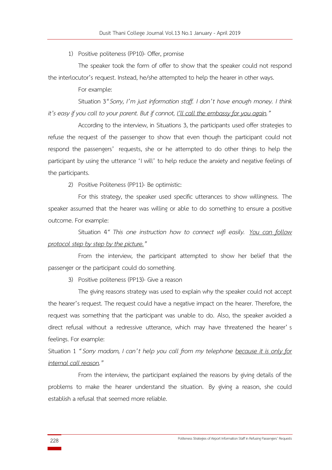1) Positive politeness (PP10)- Offer, promise

The speaker took the form of offer to show that the speaker could not respond the interlocutor's request. Instead, he/she attempted to help the hearer in other ways.

For example:

Situation 3*"Sorry, I'm just information staff. I don't have enough money. I think it's easy if you call to your parent. But if cannot, I'll call the embassy for you again."* 

According to the interview, in Situations 3, the participants used offer strategies to refuse the request of the passenger to show that even though the participant could not respond the passengers' requests, she or he attempted to do other things to help the participant by using the utterance 'I will' to help reduce the anxiety and negative feelings of the participants.

2) Positive Politeness (PP11)- Be optimistic:

For this strategy, the speaker used specific utterances to show willingness. The speaker assumed that the hearer was willing or able to do something to ensure a positive outcome. For example:

Situation 4*" This one instruction how to connect wifi easily. You can follow protocol step by step by the picture."*

From the interview, the participant attempted to show her belief that the passenger or the participant could do something.

3) Positive politeness (PP13)- Give a reason

The giving reasons strategy was used to explain why the speaker could not accept the hearer's request. The request could have a negative impact on the hearer. Therefore, the request was something that the participant was unable to do. Also, the speaker avoided a direct refusal without a redressive utterance, which may have threatened the hearer' s feelings. For example:

Situation 1 *"Sorry madam, I can't help you call from my telephone because it is only for internal call reason."*

From the interview, the participant explained the reasons by giving details of the problems to make the hearer understand the situation. By giving a reason, she could establish a refusal that seemed more reliable.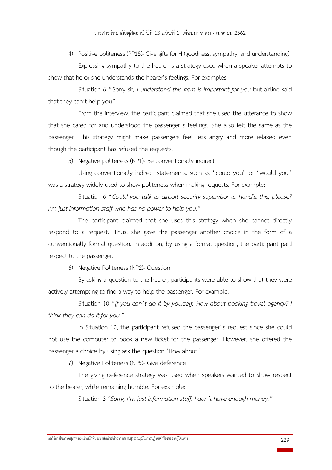4) Positive politeness (PP15)- Give gifts for H (goodness, sympathy, and understanding) Expressing sympathy to the hearer is a strategy used when a speaker attempts to

show that he or she understands the hearer's feelings. For examples:

Situation 6 "Sorry sir*, I understand this item is important for you* but airline said that they can't help you"

From the interview, the participant claimed that she used the utterance to show that she cared for and understood the passenger's feelings. She also felt the same as the passenger. This strategy might make passengers feel less angry and more relaxed even though the participant has refused the requests.

5) Negative politeness (NP1)- Be conventionally indirect

Using conventionally indirect statements, such as 'could you' or 'would you,' was a strategy widely used to show politeness when making requests. For example:

Situation 6 *"Could you talk to airport security supervisor to handle this, please? I'm just information staff who has no power to help you."*

The participant claimed that she uses this strategy when she cannot directly respond to a request. Thus, she gave the passenger another choice in the form of a conventionally formal question. In addition, by using a formal question, the participant paid respect to the passenger.

6) Negative Politeness (NP2)- Question

By asking a question to the hearer, participants were able to show that they were actively attempting to find a way to help the passenger. For example:

Situation 10 *"If you can't do it by yourself. How about booking travel agency? I think they can do it for you."*

In Situation 10, the participant refused the passenger's request since she could not use the computer to book a new ticket for the passenger. However, she offered the passenger a choice by using ask the question 'How about.'

7) Negative Politeness (NP5)- Give deference

The giving deference strategy was used when speakers wanted to show respect to the hearer, while remaining humble. For example:

Situation 3 *"Sorry, I'm just information staff. I don't have enough money."*

กลวิธีการใช้ภาษาสุภาพของเจ้าหน้าที่ประชาสัมพันธ์ท่าอากาศยานสุวรรณภูมิในการปฏิเสธคำร้องขอจากผู้โดยสาร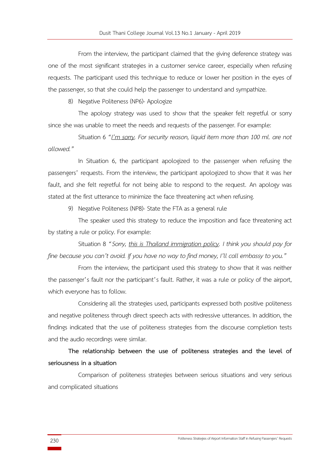From the interview, the participant claimed that the giving deference strategy was one of the most significant strategies in a customer service career, especially when refusing requests. The participant used this technique to reduce or lower her position in the eyes of the passenger, so that she could help the passenger to understand and sympathize.

8) Negative Politeness (NP6)- Apologize

The apology strategy was used to show that the speaker felt regretful or sorry since she was unable to meet the needs and requests of the passenger. For example:

Situation 6 *"I'm sorry. For security reason, liquid item more than 100 ml. are not allowed."*

In Situation 6, the participant apologized to the passenger when refusing the passengers' requests. From the interview, the participant apologized to show that it was her fault, and she felt regretful for not being able to respond to the request. An apology was stated at the first utterance to minimize the face threatening act when refusing.

9) Negative Politeness (NP8)- State the FTA as a general rule

The speaker used this strategy to reduce the imposition and face threatening act by stating a rule or policy. For example:

 Situation 8 *"Sorry, this is Thailand immigration policy. I think you should pay for fine because you can't avoid. If you have no way to find money, I'll call embassy to you."*

From the interview, the participant used this strategy to show that it was neither the passenger's fault nor the participant's fault. Rather, it was a rule or policy of the airport, which everyone has to follow.

Considering all the strategies used, participants expressed both positive politeness and negative politeness through direct speech acts with redressive utterances. In addition, the findings indicated that the use of politeness strategies from the discourse completion tests and the audio recordings were similar.

**The relationship between the use of politeness strategies and the level of seriousness in a situation**

Comparison of politeness strategies between serious situations and very serious and complicated situations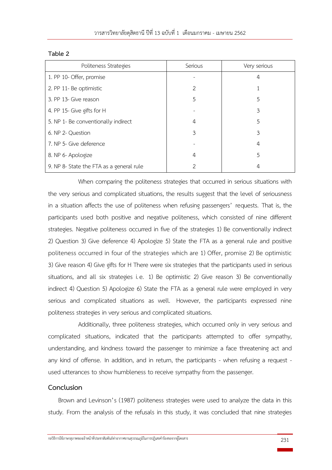#### **Table 2**

| Politeness Strategies                    | Serious | Very serious |  |
|------------------------------------------|---------|--------------|--|
| 1. PP 10- Offer, promise                 |         | 4            |  |
| 2. PP 11- Be optimistic                  | 2       |              |  |
| 3. PP 13- Give reason                    | 5       | 5            |  |
| 4. PP 15- Give gifts for H               |         | 3            |  |
| 5. NP 1- Be conventionally indirect      | 4       | 5            |  |
| 6. NP 2- Question                        | 3       | 3            |  |
| 7. NP 5- Give deference                  |         | 4            |  |
| 8. NP 6- Apologize                       | 4       | 5            |  |
| 9. NP 8- State the FTA as a general rule | 2       | 4            |  |

When comparing the politeness strategies that occurred in serious situations with the very serious and complicated situations, the results suggest that the level of seriousness in a situation affects the use of politeness when refusing passengers' requests. That is, the participants used both positive and negative politeness, which consisted of nine different strategies. Negative politeness occurred in five of the strategies 1) Be conventionally indirect 2) Question 3) Give deference 4) Apologize 5) State the FTA as a general rule and positive politeness occurred in four of the strategies which are 1) Offer, promise 2) Be optimistic 3) Give reason 4) Give gifts for H There were six strategies that the participants used in serious situations, and all six strategies i.e. 1) Be optimistic 2) Give reason 3) Be conventionally indirect 4) Question 5) Apologize 6) State the FTA as a general rule were employed in very serious and complicated situations as well. However, the participants expressed nine politeness strategies in very serious and complicated situations.

Additionally, three politeness strategies, which occurred only in very serious and complicated situations, indicated that the participants attempted to offer sympathy, understanding, and kindness toward the passenger to minimize a face threatening act and any kind of offense. In addition, and in return, the participants - when refusing a request used utterances to show humbleness to receive sympathy from the passenger.

# **Conclusion**

Brown and Levinson's (1987) politeness strategies were used to analyze the data in this study. From the analysis of the refusals in this study, it was concluded that nine strategies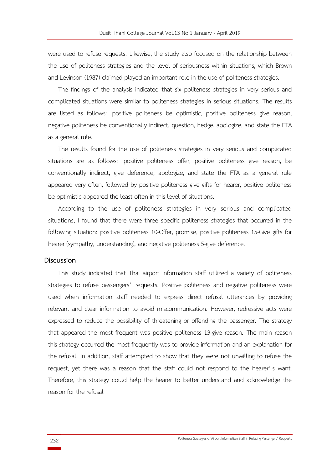were used to refuse requests. Likewise, the study also focused on the relationship between the use of politeness strategies and the level of seriousness within situations, which Brown and Levinson (1987) claimed played an important role in the use of politeness strategies.

The findings of the analysis indicated that six politeness strategies in very serious and complicated situations were similar to politeness strategies in serious situations. The results are listed as follows: positive politeness be optimistic, positive politeness give reason, negative politeness be conventionally indirect, question, hedge, apologize, and state the FTA as a general rule.

The results found for the use of politeness strategies in very serious and complicated situations are as follows: positive politeness offer, positive politeness give reason, be conventionally indirect, give deference, apologize, and state the FTA as a general rule appeared very often, followed by positive politeness give gifts for hearer, positive politeness be optimistic appeared the least often in this level of situations.

According to the use of politeness strategies in very serious and complicated situations, I found that there were three specific politeness strategies that occurred in the following situation: positive politeness 10-Offer, promise, positive politeness 15-Give gifts for hearer (sympathy, understanding), and negative politeness 5-give deference.

#### **Discussion**

This study indicated that Thai airport information staff utilized a variety of politeness strategies to refuse passengers' requests. Positive politeness and negative politeness were used when information staff needed to express direct refusal utterances by providing relevant and clear information to avoid miscommunication. However, redressive acts were expressed to reduce the possibility of threatening or offending the passenger. The strategy that appeared the most frequent was positive politeness 13-give reason. The main reason this strategy occurred the most frequently was to provide information and an explanation for the refusal. In addition, staff attempted to show that they were not unwilling to refuse the request, yet there was a reason that the staff could not respond to the hearer' s want. Therefore, this strategy could help the hearer to better understand and acknowledge the reason for the refusal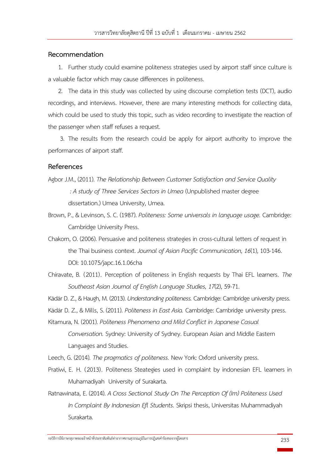#### **Recommendation**

1. Further study could examine politeness strategies used by airport staff since culture is a valuable factor which may cause differences in politeness.

2. The data in this study was collected by using discourse completion tests (DCT), audio recordings, and interviews. However, there are many interesting methods for collecting data, which could be used to study this topic, such as video recording to investigate the reaction of the passenger when staff refuses a request.

3. The results from the research could be apply for airport authority to improve the performances of airport staff.

#### **References**

- Agbor J.M., (2011). *The Relationship Between Customer Satisfaction and Service Quality : A study of Three Services Sectors in Umea*(Unpublished master degree dissertation.) Umea University, Umea.
- Brown, P., & Levinson, S. C. (1987). *Politeness: Some universals in language usage.* Cambridge: Cambridge University Press.
- Chakorn, O. (2006). Persuasive and politeness strategies in cross-cultural letters of request in the Thai business context. *Journal of Asian Pacific Communication, 16*(1), 103-146. DOI: 10.1075/japc.16.1.06cha
- Chiravate, B. (2011). Perception of politeness in English requests by Thai EFL learners. *The Southeast Asian Journal of English Language Studies, 17*(2), 59-71.

Kádár D. Z., & Haugh, M. (2013). *Understanding politeness.* Cambridge: Cambridge university press.

Kádár D. Z., & Mills, S. (2011). *Politeness in East Asia.* Cambridge: Cambridge university press.

- Kitamura, N. (2001). *Politeness Phenomena and Mild Conflict in Japanese Casual Conversation.* Sydney: University of Sydney. European Asian and Middle Eastern Languages and Studies.
- Leech, G. (2014). *The pragmatics of politeness.* New York: Oxford university press.
- Pratiwi, E. H. (2013). Politeness Steategies used in complaint by indonesian EFL learners in Muhamadiyah University of Surakarta.
- Ratnawinata, E. (2014). *A Cross Sectional Study On The Perception Of (Im) Politeness Used In Complaint By Indonesian Efl Students.* Skripsi thesis, Universitas Muhammadiyah Surakarta.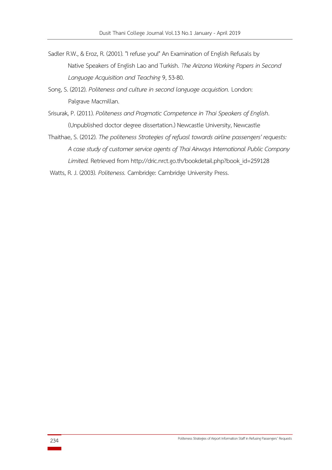- Sadler R.W., & Eroz, R. (2001). "I refuse you!" An Examination of English Refusals by Native Speakers of English Lao and Turkish. *The Arizona Working Papers in Second Language Acquisition and Teaching* 9, 53-80.
- Song, S. (2012). *Politeness and culture in second language acquistion.* London: Palgrave Macmillan.
- Srisurak, P. (2011). *Politeness and Pragmatic Competence in Thai Speakers of English*. (Unpublished doctor degree dissertation.) Newcastle University, Newcastle
- Thaithae, S. (2012). *The politeness Strategies of refuasl towards airline passengers' requests: A case study of customer service agents of Thai Airways International Public Company Limited.* Retrieved from http://dric.nrct.go.th/bookdetail.php?book\_id=259128

Watts, R. J. (2003). *Politeness.* Cambridge: Cambridge University Press.